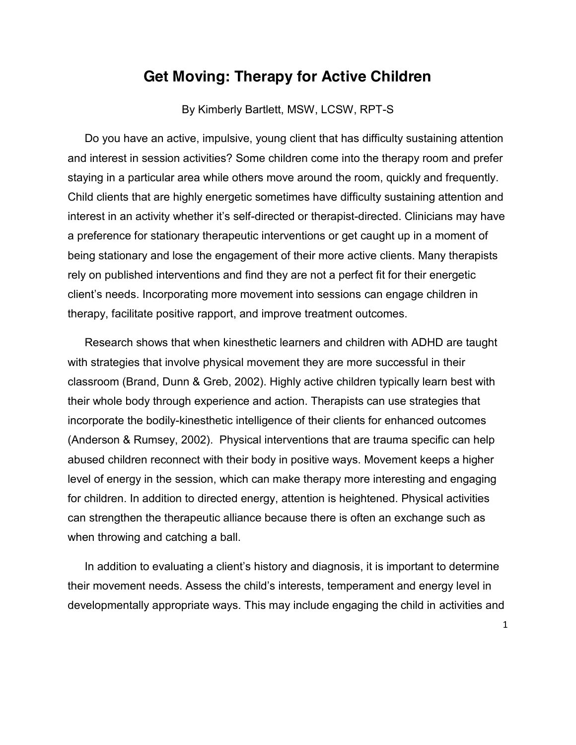## **Get Moving: Therapy for Active Children**

By Kimberly Bartlett, MSW, LCSW, RPT-S

Do you have an active, impulsive, young client that has difficulty sustaining attention and interest in session activities? Some children come into the therapy room and prefer staying in a particular area while others move around the room, quickly and frequently. Child clients that are highly energetic sometimes have difficulty sustaining attention and interest in an activity whether it's self-directed or therapist-directed. Clinicians may have a preference for stationary therapeutic interventions or get caught up in a moment of being stationary and lose the engagement of their more active clients. Many therapists rely on published interventions and find they are not a perfect fit for their energetic client's needs. Incorporating more movement into sessions can engage children in therapy, facilitate positive rapport, and improve treatment outcomes.

Research shows that when kinesthetic learners and children with ADHD are taught with strategies that involve physical movement they are more successful in their classroom (Brand, Dunn & Greb, 2002). Highly active children typically learn best with their whole body through experience and action. Therapists can use strategies that incorporate the bodily-kinesthetic intelligence of their clients for enhanced outcomes (Anderson & Rumsey, 2002). Physical interventions that are trauma specific can help abused children reconnect with their body in positive ways. Movement keeps a higher level of energy in the session, which can make therapy more interesting and engaging for children. In addition to directed energy, attention is heightened. Physical activities can strengthen the therapeutic alliance because there is often an exchange such as when throwing and catching a ball.

In addition to evaluating a client's history and diagnosis, it is important to determine their movement needs. Assess the child's interests, temperament and energy level in developmentally appropriate ways. This may include engaging the child in activities and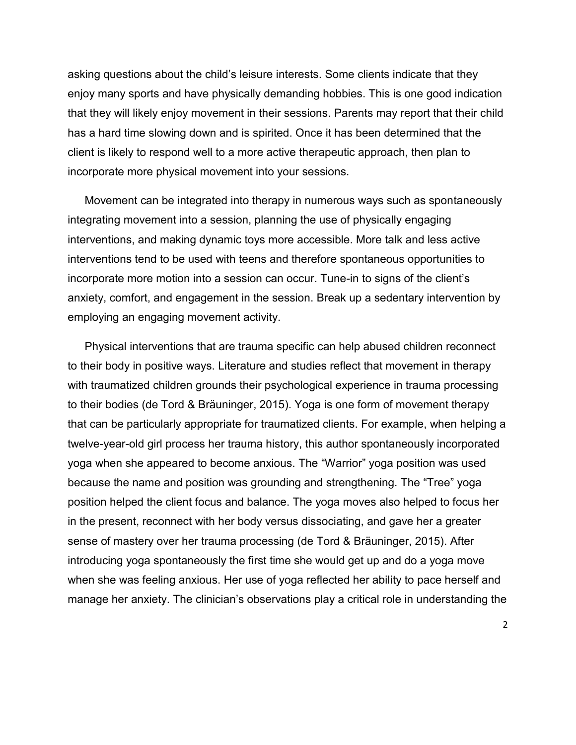asking questions about the child's leisure interests. Some clients indicate that they enjoy many sports and have physically demanding hobbies. This is one good indication that they will likely enjoy movement in their sessions. Parents may report that their child has a hard time slowing down and is spirited. Once it has been determined that the client is likely to respond well to a more active therapeutic approach, then plan to incorporate more physical movement into your sessions.

Movement can be integrated into therapy in numerous ways such as spontaneously integrating movement into a session, planning the use of physically engaging interventions, and making dynamic toys more accessible. More talk and less active interventions tend to be used with teens and therefore spontaneous opportunities to incorporate more motion into a session can occur. Tune-in to signs of the client's anxiety, comfort, and engagement in the session. Break up a sedentary intervention by employing an engaging movement activity.

Physical interventions that are trauma specific can help abused children reconnect to their body in positive ways. Literature and studies reflect that movement in therapy with traumatized children grounds their psychological experience in trauma processing to their bodies (de Tord & Bräuninger, 2015). Yoga is one form of movement therapy that can be particularly appropriate for traumatized clients. For example, when helping a twelve-year-old girl process her trauma history, this author spontaneously incorporated yoga when she appeared to become anxious. The "Warrior" yoga position was used because the name and position was grounding and strengthening. The "Tree" yoga position helped the client focus and balance. The yoga moves also helped to focus her in the present, reconnect with her body versus dissociating, and gave her a greater sense of mastery over her trauma processing (de Tord & Bräuninger, 2015). After introducing yoga spontaneously the first time she would get up and do a yoga move when she was feeling anxious. Her use of yoga reflected her ability to pace herself and manage her anxiety. The clinician's observations play a critical role in understanding the

2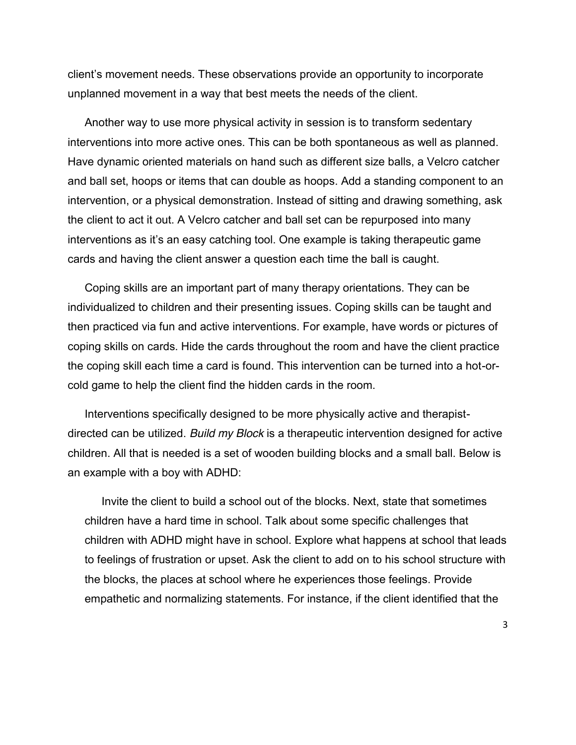client's movement needs. These observations provide an opportunity to incorporate unplanned movement in a way that best meets the needs of the client.

Another way to use more physical activity in session is to transform sedentary interventions into more active ones. This can be both spontaneous as well as planned. Have dynamic oriented materials on hand such as different size balls, a Velcro catcher and ball set, hoops or items that can double as hoops. Add a standing component to an intervention, or a physical demonstration. Instead of sitting and drawing something, ask the client to act it out. A Velcro catcher and ball set can be repurposed into many interventions as it's an easy catching tool. One example is taking therapeutic game cards and having the client answer a question each time the ball is caught.

Coping skills are an important part of many therapy orientations. They can be individualized to children and their presenting issues. Coping skills can be taught and then practiced via fun and active interventions. For example, have words or pictures of coping skills on cards. Hide the cards throughout the room and have the client practice the coping skill each time a card is found. This intervention can be turned into a hot-orcold game to help the client find the hidden cards in the room.

Interventions specifically designed to be more physically active and therapistdirected can be utilized. *Build my Block* is a therapeutic intervention designed for active children. All that is needed is a set of wooden building blocks and a small ball. Below is an example with a boy with ADHD:

Invite the client to build a school out of the blocks. Next, state that sometimes children have a hard time in school. Talk about some specific challenges that children with ADHD might have in school. Explore what happens at school that leads to feelings of frustration or upset. Ask the client to add on to his school structure with the blocks, the places at school where he experiences those feelings. Provide empathetic and normalizing statements. For instance, if the client identified that the

3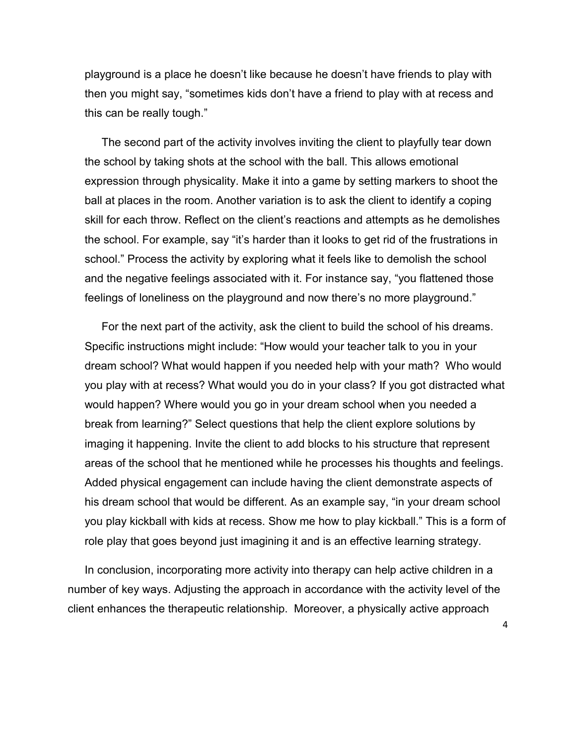playground is a place he doesn't like because he doesn't have friends to play with then you might say, "sometimes kids don't have a friend to play with at recess and this can be really tough."

The second part of the activity involves inviting the client to playfully tear down the school by taking shots at the school with the ball. This allows emotional expression through physicality. Make it into a game by setting markers to shoot the ball at places in the room. Another variation is to ask the client to identify a coping skill for each throw. Reflect on the client's reactions and attempts as he demolishes the school. For example, say "it's harder than it looks to get rid of the frustrations in school." Process the activity by exploring what it feels like to demolish the school and the negative feelings associated with it. For instance say, "you flattened those feelings of loneliness on the playground and now there's no more playground."

For the next part of the activity, ask the client to build the school of his dreams. Specific instructions might include: "How would your teacher talk to you in your dream school? What would happen if you needed help with your math? Who would you play with at recess? What would you do in your class? If you got distracted what would happen? Where would you go in your dream school when you needed a break from learning?" Select questions that help the client explore solutions by imaging it happening. Invite the client to add blocks to his structure that represent areas of the school that he mentioned while he processes his thoughts and feelings. Added physical engagement can include having the client demonstrate aspects of his dream school that would be different. As an example say, "in your dream school you play kickball with kids at recess. Show me how to play kickball." This is a form of role play that goes beyond just imagining it and is an effective learning strategy.

In conclusion, incorporating more activity into therapy can help active children in a number of key ways. Adjusting the approach in accordance with the activity level of the client enhances the therapeutic relationship. Moreover, a physically active approach

4